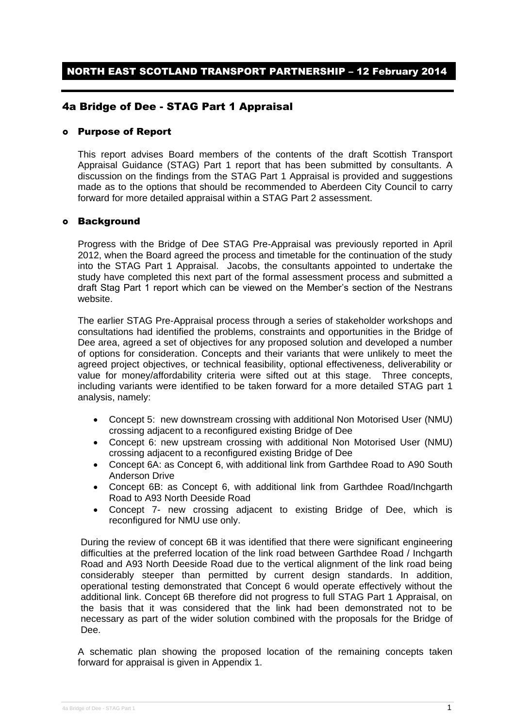## 4a Bridge of Dee - STAG Part 1 Appraisal

### Purpose of Report

This report advises Board members of the contents of the draft Scottish Transport Appraisal Guidance (STAG) Part 1 report that has been submitted by consultants. A discussion on the findings from the STAG Part 1 Appraisal is provided and suggestions made as to the options that should be recommended to Aberdeen City Council to carry forward for more detailed appraisal within a STAG Part 2 assessment.

#### Background

Progress with the Bridge of Dee STAG Pre-Appraisal was previously reported in April 2012, when the Board agreed the process and timetable for the continuation of the study into the STAG Part 1 Appraisal. Jacobs, the consultants appointed to undertake the study have completed this next part of the formal assessment process and submitted a draft Stag Part 1 report which can be viewed on the Member's section of the Nestrans website.

The earlier STAG Pre-Appraisal process through a series of stakeholder workshops and consultations had identified the problems, constraints and opportunities in the Bridge of Dee area, agreed a set of objectives for any proposed solution and developed a number of options for consideration. Concepts and their variants that were unlikely to meet the agreed project objectives, or technical feasibility, optional effectiveness, deliverability or value for money/affordability criteria were sifted out at this stage. Three concepts, including variants were identified to be taken forward for a more detailed STAG part 1 analysis, namely:

- Concept 5: new downstream crossing with additional Non Motorised User (NMU) crossing adjacent to a reconfigured existing Bridge of Dee
- Concept 6: new upstream crossing with additional Non Motorised User (NMU) crossing adjacent to a reconfigured existing Bridge of Dee
- Concept 6A: as Concept 6, with additional link from Garthdee Road to A90 South Anderson Drive
- Concept 6B: as Concept 6, with additional link from Garthdee Road/Inchgarth Road to A93 North Deeside Road
- Concept 7- new crossing adjacent to existing Bridge of Dee, which is reconfigured for NMU use only.

During the review of concept 6B it was identified that there were significant engineering difficulties at the preferred location of the link road between Garthdee Road / Inchgarth Road and A93 North Deeside Road due to the vertical alignment of the link road being considerably steeper than permitted by current design standards. In addition, operational testing demonstrated that Concept 6 would operate effectively without the additional link. Concept 6B therefore did not progress to full STAG Part 1 Appraisal, on the basis that it was considered that the link had been demonstrated not to be necessary as part of the wider solution combined with the proposals for the Bridge of Dee.

A schematic plan showing the proposed location of the remaining concepts taken forward for appraisal is given in Appendix 1.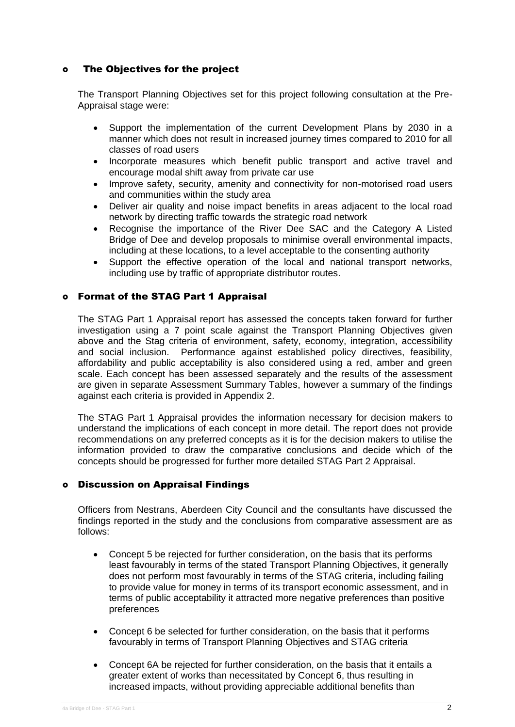## The Objectives for the project

The Transport Planning Objectives set for this project following consultation at the Pre-Appraisal stage were:

- Support the implementation of the current Development Plans by 2030 in a manner which does not result in increased journey times compared to 2010 for all classes of road users
- Incorporate measures which benefit public transport and active travel and encourage modal shift away from private car use
- Improve safety, security, amenity and connectivity for non-motorised road users and communities within the study area
- Deliver air quality and noise impact benefits in areas adjacent to the local road network by directing traffic towards the strategic road network
- Recognise the importance of the River Dee SAC and the Category A Listed Bridge of Dee and develop proposals to minimise overall environmental impacts, including at these locations, to a level acceptable to the consenting authority
- Support the effective operation of the local and national transport networks, including use by traffic of appropriate distributor routes.

## Format of the STAG Part 1 Appraisal

The STAG Part 1 Appraisal report has assessed the concepts taken forward for further investigation using a 7 point scale against the Transport Planning Objectives given above and the Stag criteria of environment, safety, economy, integration, accessibility and social inclusion. Performance against established policy directives, feasibility, affordability and public acceptability is also considered using a red, amber and green scale. Each concept has been assessed separately and the results of the assessment are given in separate Assessment Summary Tables, however a summary of the findings against each criteria is provided in Appendix 2.

The STAG Part 1 Appraisal provides the information necessary for decision makers to understand the implications of each concept in more detail. The report does not provide recommendations on any preferred concepts as it is for the decision makers to utilise the information provided to draw the comparative conclusions and decide which of the concepts should be progressed for further more detailed STAG Part 2 Appraisal.

## Discussion on Appraisal Findings

Officers from Nestrans, Aberdeen City Council and the consultants have discussed the findings reported in the study and the conclusions from comparative assessment are as follows:

- Concept 5 be rejected for further consideration, on the basis that its performs least favourably in terms of the stated Transport Planning Objectives, it generally does not perform most favourably in terms of the STAG criteria, including failing to provide value for money in terms of its transport economic assessment, and in terms of public acceptability it attracted more negative preferences than positive preferences
- Concept 6 be selected for further consideration, on the basis that it performs favourably in terms of Transport Planning Objectives and STAG criteria
- Concept 6A be rejected for further consideration, on the basis that it entails a greater extent of works than necessitated by Concept 6, thus resulting in increased impacts, without providing appreciable additional benefits than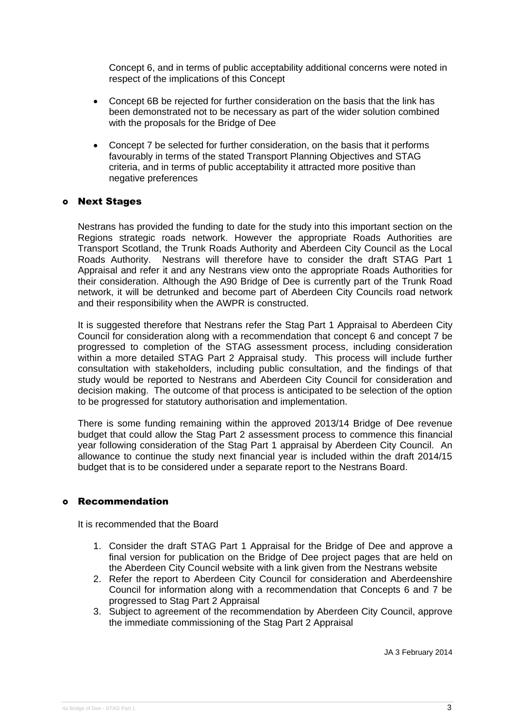Concept 6, and in terms of public acceptability additional concerns were noted in respect of the implications of this Concept

- Concept 6B be rejected for further consideration on the basis that the link has been demonstrated not to be necessary as part of the wider solution combined with the proposals for the Bridge of Dee
- Concept 7 be selected for further consideration, on the basis that it performs favourably in terms of the stated Transport Planning Objectives and STAG criteria, and in terms of public acceptability it attracted more positive than negative preferences

#### Next Stages

Nestrans has provided the funding to date for the study into this important section on the Regions strategic roads network. However the appropriate Roads Authorities are Transport Scotland, the Trunk Roads Authority and Aberdeen City Council as the Local Roads Authority. Nestrans will therefore have to consider the draft STAG Part 1 Appraisal and refer it and any Nestrans view onto the appropriate Roads Authorities for their consideration. Although the A90 Bridge of Dee is currently part of the Trunk Road network, it will be detrunked and become part of Aberdeen City Councils road network and their responsibility when the AWPR is constructed.

It is suggested therefore that Nestrans refer the Stag Part 1 Appraisal to Aberdeen City Council for consideration along with a recommendation that concept 6 and concept 7 be progressed to completion of the STAG assessment process, including consideration within a more detailed STAG Part 2 Appraisal study. This process will include further consultation with stakeholders, including public consultation, and the findings of that study would be reported to Nestrans and Aberdeen City Council for consideration and decision making. The outcome of that process is anticipated to be selection of the option to be progressed for statutory authorisation and implementation.

There is some funding remaining within the approved 2013/14 Bridge of Dee revenue budget that could allow the Stag Part 2 assessment process to commence this financial year following consideration of the Stag Part 1 appraisal by Aberdeen City Council. An allowance to continue the study next financial year is included within the draft 2014/15 budget that is to be considered under a separate report to the Nestrans Board.

#### Recommendation

It is recommended that the Board

- 1. Consider the draft STAG Part 1 Appraisal for the Bridge of Dee and approve a final version for publication on the Bridge of Dee project pages that are held on the Aberdeen City Council website with a link given from the Nestrans website
- 2. Refer the report to Aberdeen City Council for consideration and Aberdeenshire Council for information along with a recommendation that Concepts 6 and 7 be progressed to Stag Part 2 Appraisal
- 3. Subject to agreement of the recommendation by Aberdeen City Council, approve the immediate commissioning of the Stag Part 2 Appraisal

JA 3 February 2014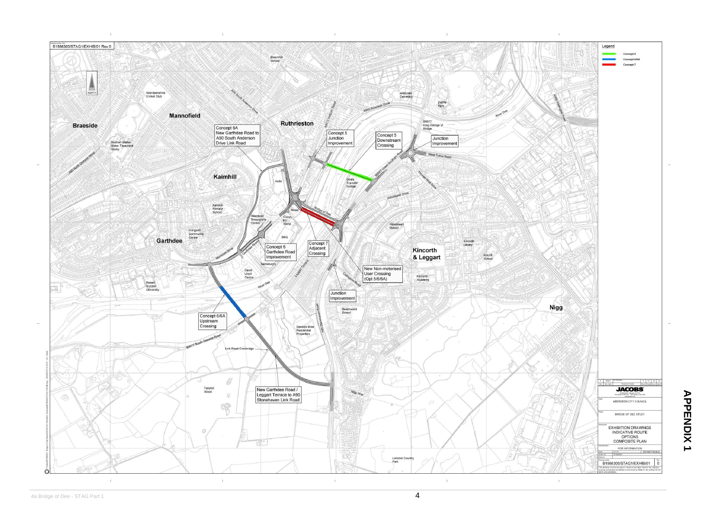